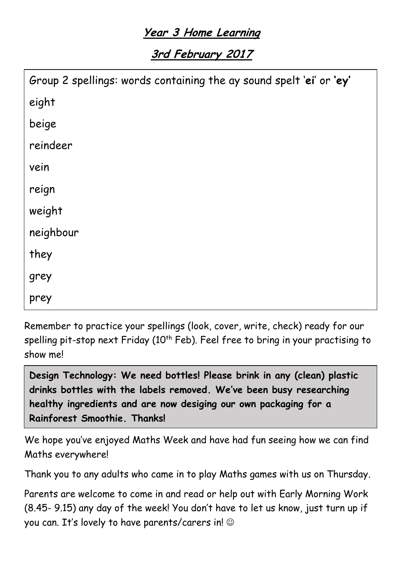## **Year 3 Home Learning**

**3rd February 2017**

| Group 2 spellings: words containing the ay sound spelt 'ei' or 'ey' |
|---------------------------------------------------------------------|
| eight                                                               |
| beige                                                               |
| reindeer                                                            |
| vein                                                                |
| reign                                                               |
| weight                                                              |
| neighbour                                                           |
| they                                                                |
| grey                                                                |
| prey                                                                |

Remember to practice your spellings (look, cover, write, check) ready for our spelling pit-stop next Friday ( $10<sup>th</sup>$  Feb). Feel free to bring in your practising to show me!

**Design Technology: We need bottles! Please brink in any (clean) plastic drinks bottles with the labels removed. We've been busy researching healthy ingredients and are now desiging our own packaging for a Rainforest Smoothie. Thanks!**

We hope you've enjoyed Maths Week and have had fun seeing how we can find Maths everywhere!

Thank you to any adults who came in to play Maths games with us on Thursday.

Parents are welcome to come in and read or help out with Early Morning Work (8.45- 9.15) any day of the week! You don't have to let us know, just turn up if you can. It's lovely to have parents/carers in!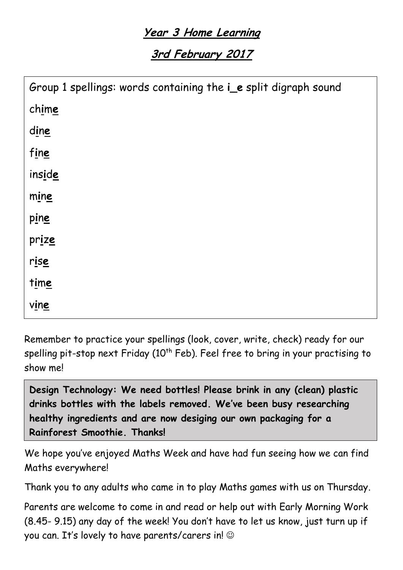## **Year 3 Home Learning**

**3rd February 2017**

| Group 1 spellings: words containing the ie split digraph sound |
|----------------------------------------------------------------|
| chime                                                          |
| dine                                                           |
| fine                                                           |
| inside                                                         |
| mine                                                           |
| $\frac{pine}{p}$                                               |
| prize                                                          |
| rise                                                           |
| time                                                           |
| vine                                                           |

Remember to practice your spellings (look, cover, write, check) ready for our spelling pit-stop next Friday ( $10<sup>th</sup>$  Feb). Feel free to bring in your practising to show me!

**Design Technology: We need bottles! Please brink in any (clean) plastic drinks bottles with the labels removed. We've been busy researching healthy ingredients and are now desiging our own packaging for a Rainforest Smoothie. Thanks!**

We hope you've enjoyed Maths Week and have had fun seeing how we can find Maths everywhere!

Thank you to any adults who came in to play Maths games with us on Thursday.

Parents are welcome to come in and read or help out with Early Morning Work (8.45- 9.15) any day of the week! You don't have to let us know, just turn up if you can. It's lovely to have parents/carers in!